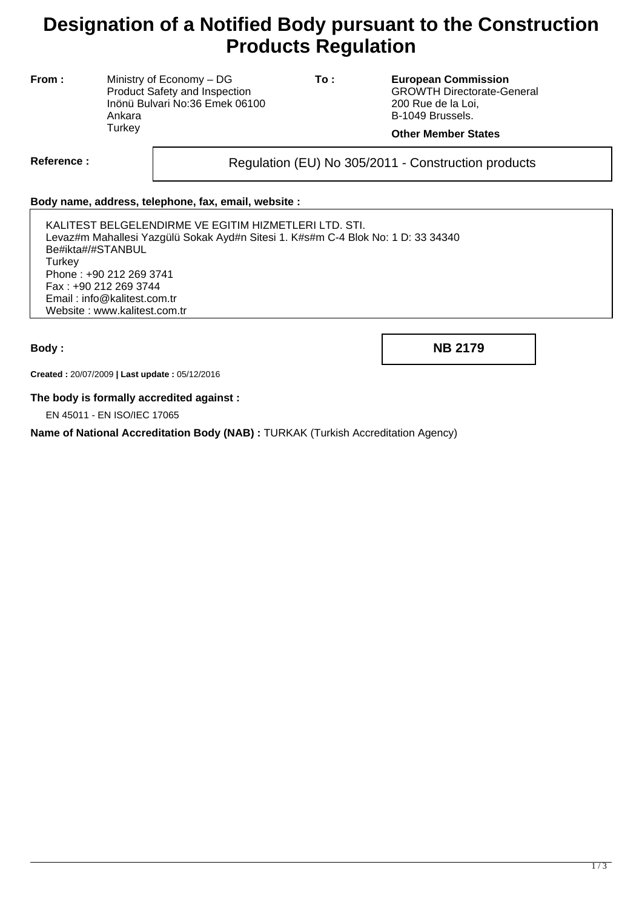# **Designation of a Notified Body pursuant to the Construction Products Regulation**

**From :** Ministry of Economy – DG Product Safety and Inspection Inönü Bulvari No:36 Emek 06100 Ankara **Turkey** 

**To : European Commission** GROWTH Directorate-General 200 Rue de la Loi, B-1049 Brussels.

### **Other Member States**

Reference : and **Regulation (EU) No 305/2011** - Construction products

#### **Body name, address, telephone, fax, email, website :**

KALITEST BELGELENDIRME VE EGITIM HIZMETLERI LTD. STI. Levaz#m Mahallesi Yazgülü Sokak Ayd#n Sitesi 1. K#s#m C-4 Blok No: 1 D: 33 34340 Be#ikta#/#STANBUL **Turkey** Phone : +90 212 269 3741 Fax : +90 212 269 3744 Email : info@kalitest.com.tr Website : www.kalitest.com.tr

**Body : NB 2179**

**Created :** 20/07/2009 **| Last update :** 05/12/2016

#### **The body is formally accredited against :**

EN 45011 - EN ISO/IEC 17065

**Name of National Accreditation Body (NAB) :** TURKAK (Turkish Accreditation Agency)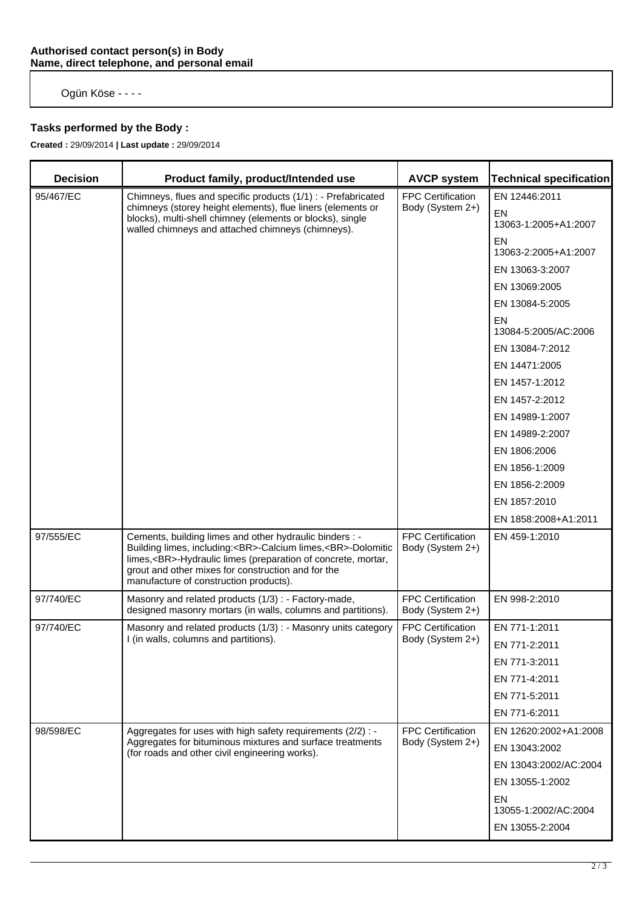Ogün Köse - - - -

## **Tasks performed by the Body :**

**Created :** 29/09/2014 **| Last update :** 29/09/2014

| <b>Decision</b> | Product family, product/Intended use                                                                                                                                                                                                                                                   | <b>AVCP system</b>                           | <b>Technical specification</b>                                                                      |
|-----------------|----------------------------------------------------------------------------------------------------------------------------------------------------------------------------------------------------------------------------------------------------------------------------------------|----------------------------------------------|-----------------------------------------------------------------------------------------------------|
| 95/467/EC       | Chimneys, flues and specific products (1/1) : - Prefabricated<br>chimneys (storey height elements), flue liners (elements or<br>blocks), multi-shell chimney (elements or blocks), single<br>walled chimneys and attached chimneys (chimneys).                                         | <b>FPC Certification</b><br>Body (System 2+) | EN 12446:2011<br>EN<br>13063-1:2005+A1:2007<br><b>EN</b><br>13063-2:2005+A1:2007<br>EN 13063-3:2007 |
|                 |                                                                                                                                                                                                                                                                                        |                                              | EN 13069:2005<br>EN 13084-5:2005                                                                    |
|                 |                                                                                                                                                                                                                                                                                        |                                              | EN<br>13084-5:2005/AC:2006                                                                          |
|                 |                                                                                                                                                                                                                                                                                        |                                              | EN 13084-7:2012                                                                                     |
|                 |                                                                                                                                                                                                                                                                                        |                                              | EN 14471:2005                                                                                       |
|                 |                                                                                                                                                                                                                                                                                        |                                              | EN 1457-1:2012                                                                                      |
|                 |                                                                                                                                                                                                                                                                                        |                                              | EN 1457-2:2012                                                                                      |
|                 |                                                                                                                                                                                                                                                                                        |                                              | EN 14989-1:2007                                                                                     |
|                 |                                                                                                                                                                                                                                                                                        |                                              | EN 14989-2:2007                                                                                     |
|                 |                                                                                                                                                                                                                                                                                        |                                              | EN 1806:2006                                                                                        |
|                 |                                                                                                                                                                                                                                                                                        |                                              | EN 1856-1:2009                                                                                      |
|                 |                                                                                                                                                                                                                                                                                        |                                              | EN 1856-2:2009                                                                                      |
|                 |                                                                                                                                                                                                                                                                                        |                                              | EN 1857:2010                                                                                        |
|                 |                                                                                                                                                                                                                                                                                        |                                              | EN 1858:2008+A1:2011                                                                                |
| 97/555/EC       | Cements, building limes and other hydraulic binders : -<br>Building limes, including:<br>-Calcium limes,<br>-Dolomitic<br>limes,<br>-Hydraulic limes (preparation of concrete, mortar,<br>grout and other mixes for construction and for the<br>manufacture of construction products). | FPC Certification<br>Body (System 2+)        | EN 459-1:2010                                                                                       |
| 97/740/EC       | Masonry and related products (1/3) : - Factory-made,<br>designed masonry mortars (in walls, columns and partitions).                                                                                                                                                                   | FPC Certification<br>Body (System 2+)        | EN 998-2:2010                                                                                       |
| 97/740/EC       | Masonry and related products (1/3) : - Masonry units category<br>I (in walls, columns and partitions).                                                                                                                                                                                 | <b>FPC Certification</b><br>Body (System 2+) | EN 771-1:2011                                                                                       |
|                 |                                                                                                                                                                                                                                                                                        |                                              | EN 771-2:2011                                                                                       |
|                 |                                                                                                                                                                                                                                                                                        |                                              | EN 771-3:2011                                                                                       |
|                 |                                                                                                                                                                                                                                                                                        |                                              | EN 771-4:2011                                                                                       |
|                 |                                                                                                                                                                                                                                                                                        |                                              | EN 771-5:2011                                                                                       |
|                 |                                                                                                                                                                                                                                                                                        |                                              | EN 771-6:2011                                                                                       |
| 98/598/EC       | Aggregates for uses with high safety requirements (2/2) : -<br>Aggregates for bituminous mixtures and surface treatments<br>(for roads and other civil engineering works).                                                                                                             | <b>FPC Certification</b><br>Body (System 2+) | EN 12620:2002+A1:2008                                                                               |
|                 |                                                                                                                                                                                                                                                                                        |                                              | EN 13043:2002                                                                                       |
|                 |                                                                                                                                                                                                                                                                                        |                                              | EN 13043:2002/AC:2004                                                                               |
|                 |                                                                                                                                                                                                                                                                                        |                                              | EN 13055-1:2002                                                                                     |
|                 |                                                                                                                                                                                                                                                                                        |                                              | EN<br>13055-1:2002/AC:2004                                                                          |
|                 |                                                                                                                                                                                                                                                                                        |                                              | EN 13055-2:2004                                                                                     |